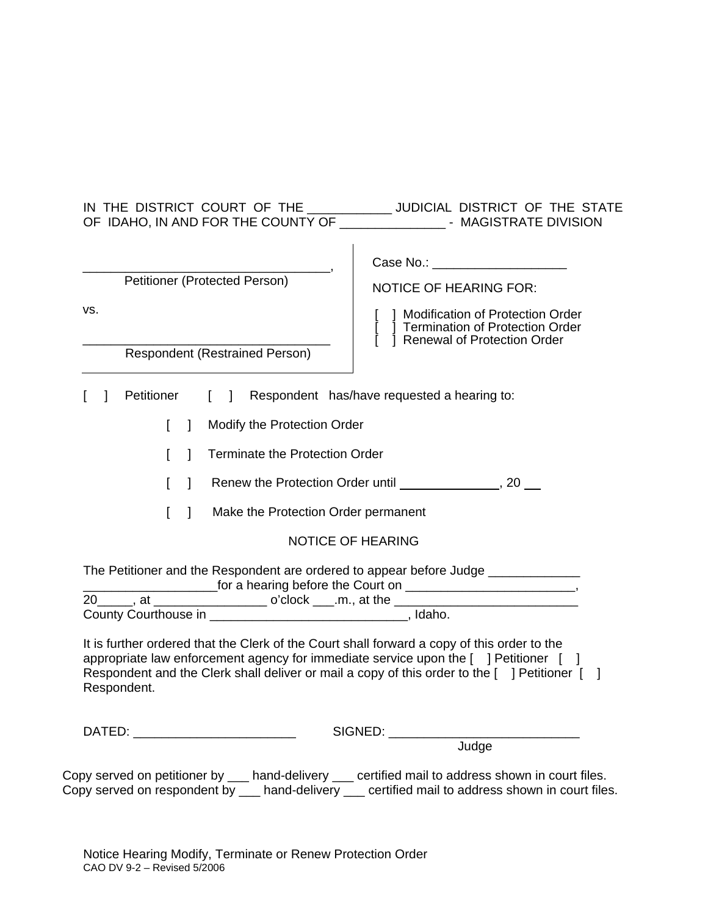|                                                                                                                                                                                                                                                                                                     | IN THE DISTRICT COURT OF THE ____________ JUDICIAL DISTRICT OF THE STATE                                                                                                                                                       |
|-----------------------------------------------------------------------------------------------------------------------------------------------------------------------------------------------------------------------------------------------------------------------------------------------------|--------------------------------------------------------------------------------------------------------------------------------------------------------------------------------------------------------------------------------|
| Petitioner (Protected Person)<br>VS.<br><b>Respondent (Restrained Person)</b>                                                                                                                                                                                                                       | Case No.: 2008<br><b>NOTICE OF HEARING FOR:</b><br>1 Modification of Protection Order<br>Termination of Protection Order<br>Renewal of Protection Order<br>$\mathbf{L}$                                                        |
| Petitioner<br>$\mathbf{I}$                                                                                                                                                                                                                                                                          | [ ] Respondent has/have requested a hearing to:                                                                                                                                                                                |
| Modify the Protection Order<br>$\mathbf{I}$<br>L                                                                                                                                                                                                                                                    |                                                                                                                                                                                                                                |
| <b>Terminate the Protection Order</b><br>$\mathbf{I}$<br>L                                                                                                                                                                                                                                          |                                                                                                                                                                                                                                |
| L                                                                                                                                                                                                                                                                                                   | The Protection Order until The Manuson Communist Communist Communist Communist Communist Communist Communist Communist Communist Communist Communist Communist Communist Communist Communist Communist Communist Communist Com |
| Make the Protection Order permanent<br>L<br>$\mathbf{1}$                                                                                                                                                                                                                                            |                                                                                                                                                                                                                                |
|                                                                                                                                                                                                                                                                                                     | <b>NOTICE OF HEARING</b>                                                                                                                                                                                                       |
| The Petitioner and the Respondent are ordered to appear before Judge ___________                                                                                                                                                                                                                    |                                                                                                                                                                                                                                |
| It is further ordered that the Clerk of the Court shall forward a copy of this order to the<br>appropriate law enforcement agency for immediate service upon the [ ] Petitioner [ ]<br>Respondent and the Clerk shall deliver or mail a copy of this order to the [ ] Petitioner [ ]<br>Respondent. |                                                                                                                                                                                                                                |
| DATED: ___________________________                                                                                                                                                                                                                                                                  | SIGNED:                                                                                                                                                                                                                        |
|                                                                                                                                                                                                                                                                                                     | Judge                                                                                                                                                                                                                          |
| Copy served on petitioner by ___ hand-delivery ___ certified mail to address shown in court files.<br>Copy served on respondent by ___ hand-delivery ___ certified mail to address shown in court files.                                                                                            |                                                                                                                                                                                                                                |